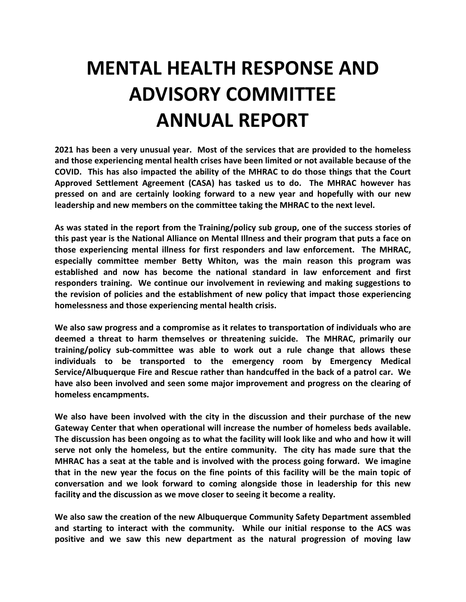## **MENTAL HEALTH RESPONSE AND ADVISORY COMMITTEE ANNUAL REPORT**

**2021 has been a very unusual year. Most of the services that are provided to the homeless and those experiencing mental health crises have been limited or not available because of the COVID. This has also impacted the ability of the MHRAC to do those things that the Court Approved Settlement Agreement (CASA) has tasked us to do. The MHRAC however has pressed on and are certainly looking forward to a new year and hopefully with our new leadership and new members on the committee taking the MHRAC to the next level.** 

**As was stated in the report from the Training/policy sub group, one of the success stories of this past year is the National Alliance on Mental Illness and their program that puts a face on those experiencing mental illness for first responders and law enforcement. The MHRAC, especially committee member Betty Whiton, was the main reason this program was established and now has become the national standard in law enforcement and first responders training. We continue our involvement in reviewing and making suggestions to the revision of policies and the establishment of new policy that impact those experiencing homelessness and those experiencing mental health crisis.** 

**We also saw progress and a compromise as it relates to transportation of individuals who are deemed a threat to harm themselves or threatening suicide. The MHRAC, primarily our training/policy sub-committee was able to work out a rule change that allows these individuals to be transported to the emergency room by Emergency Medical Service/Albuquerque Fire and Rescue rather than handcuffed in the back of a patrol car. We have also been involved and seen some major improvement and progress on the clearing of homeless encampments.** 

**We also have been involved with the city in the discussion and their purchase of the new Gateway Center that when operational will increase the number of homeless beds available. The discussion has been ongoing as to what the facility will look like and who and how it will serve not only the homeless, but the entire community. The city has made sure that the MHRAC has a seat at the table and is involved with the process going forward. We imagine that in the new year the focus on the fine points of this facility will be the main topic of conversation and we look forward to coming alongside those in leadership for this new facility and the discussion as we move closer to seeing it become a reality.**

**We also saw the creation of the new Albuquerque Community Safety Department assembled and starting to interact with the community. While our initial response to the ACS was positive and we saw this new department as the natural progression of moving law**